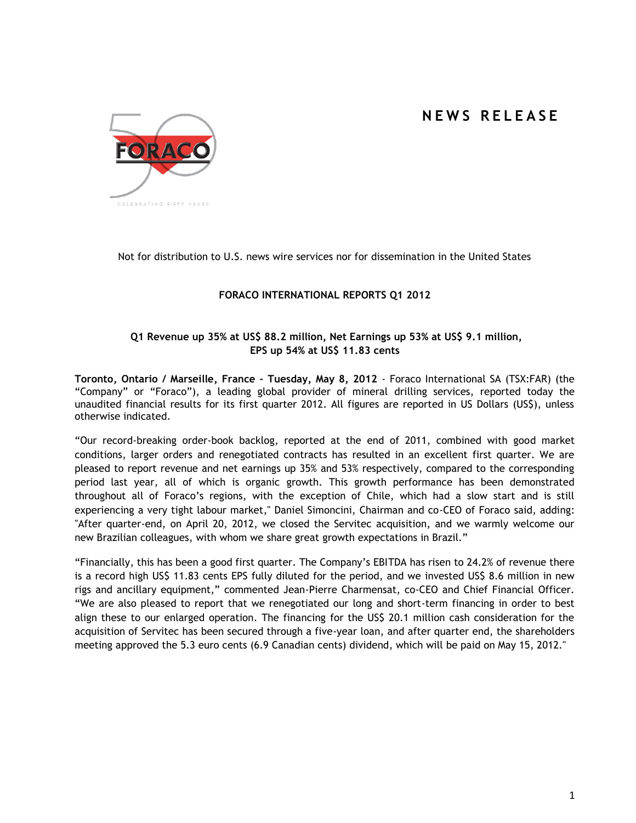# **N E W S R E L E A S E**



Not for distribution to U.S. news wire services nor for dissemination in the United States

# **FORACO INTERNATIONAL REPORTS Q1 2012**

## **Q1 Revenue up 35% at US\$ 88.2 million, Net Earnings up 53% at US\$ 9.1 million, EPS up 54% at US\$ 11.83 cents**

**Toronto, Ontario / Marseille, France – Tuesday, May 8, 2012** - Foraco International SA (TSX:FAR) (the "Company" or "Foraco"), a leading global provider of mineral drilling services, reported today the unaudited financial results for its first quarter 2012. All figures are reported in US Dollars (US\$), unless otherwise indicated.

"Our record-breaking order-book backlog, reported at the end of 2011, combined with good market conditions, larger orders and renegotiated contracts has resulted in an excellent first quarter. We are pleased to report revenue and net earnings up 35% and 53% respectively, compared to the corresponding period last year, all of which is organic growth. This growth performance has been demonstrated throughout all of Foraco's regions, with the exception of Chile, which had a slow start and is still experiencing a very tight labour market," Daniel Simoncini, Chairman and co-CEO of Foraco said, adding: "After quarter-end, on April 20, 2012, we closed the Servitec acquisition, and we warmly welcome our new Brazilian colleagues, with whom we share great growth expectations in Brazil."

"Financially, this has been a good first quarter. The Company's EBITDA has risen to 24.2% of revenue there is a record high US\$ 11.83 cents EPS fully diluted for the period, and we invested US\$ 8.6 million in new rigs and ancillary equipment," commented Jean-Pierre Charmensat, co-CEO and Chief Financial Officer. "We are also pleased to report that we renegotiated our long and short-term financing in order to best align these to our enlarged operation. The financing for the US\$ 20.1 million cash consideration for the acquisition of Servitec has been secured through a five-year loan, and after quarter end, the shareholders meeting approved the 5.3 euro cents (6.9 Canadian cents) dividend, which will be paid on May 15, 2012."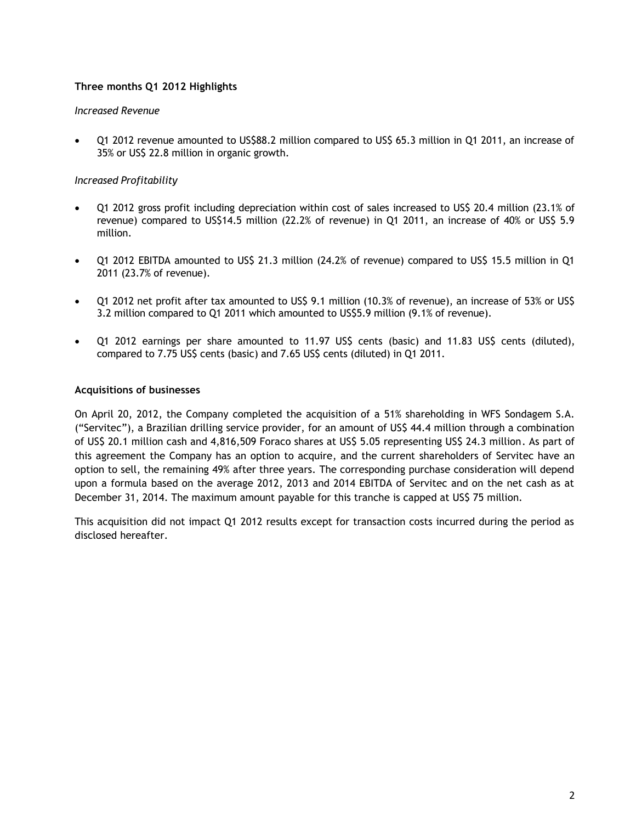# **Three months Q1 2012 Highlights**

## *Increased Revenue*

 Q1 2012 revenue amounted to US\$88.2 million compared to US\$ 65.3 million in Q1 2011, an increase of 35% or US\$ 22.8 million in organic growth.

## *Increased Profitability*

- Q1 2012 gross profit including depreciation within cost of sales increased to US\$ 20.4 million (23.1% of revenue) compared to US\$14.5 million (22.2% of revenue) in Q1 2011, an increase of 40% or US\$ 5.9 million.
- Q1 2012 EBITDA amounted to US\$ 21.3 million (24.2% of revenue) compared to US\$ 15.5 million in Q1 2011 (23.7% of revenue).
- Q1 2012 net profit after tax amounted to US\$ 9.1 million (10.3% of revenue), an increase of 53% or US\$ 3.2 million compared to Q1 2011 which amounted to US\$5.9 million (9.1% of revenue).
- Q1 2012 earnings per share amounted to 11.97 US\$ cents (basic) and 11.83 US\$ cents (diluted), compared to 7.75 US\$ cents (basic) and 7.65 US\$ cents (diluted) in Q1 2011.

## **Acquisitions of businesses**

On April 20, 2012, the Company completed the acquisition of a 51% shareholding in WFS Sondagem S.A. ("Servitec"), a Brazilian drilling service provider, for an amount of US\$ 44.4 million through a combination of US\$ 20.1 million cash and 4,816,509 Foraco shares at US\$ 5.05 representing US\$ 24.3 million. As part of this agreement the Company has an option to acquire, and the current shareholders of Servitec have an option to sell, the remaining 49% after three years. The corresponding purchase consideration will depend upon a formula based on the average 2012, 2013 and 2014 EBITDA of Servitec and on the net cash as at December 31, 2014. The maximum amount payable for this tranche is capped at US\$ 75 million.

This acquisition did not impact Q1 2012 results except for transaction costs incurred during the period as disclosed hereafter.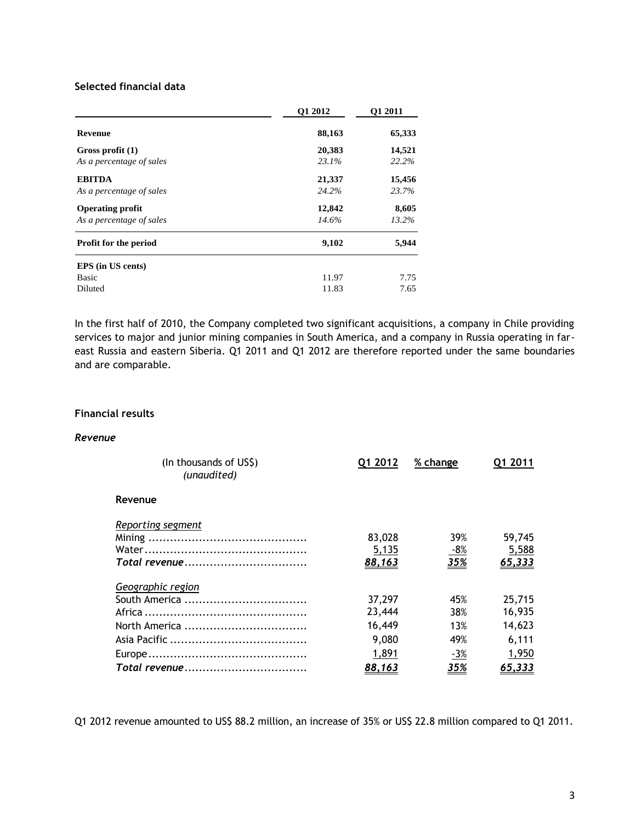# **Selected financial data**

|                              | O1 2012 | O1 2011 |
|------------------------------|---------|---------|
| <b>Revenue</b>               | 88,163  | 65,333  |
| Gross profit $(1)$           | 20,383  | 14,521  |
| As a percentage of sales     | 23.1%   | 22.2%   |
| <b>EBITDA</b>                | 21,337  | 15,456  |
| As a percentage of sales     | 24.2%   | 23.7%   |
| <b>Operating profit</b>      | 12,842  | 8,605   |
| As a percentage of sales     | 14.6%   | 13.2%   |
| <b>Profit for the period</b> | 9,102   | 5,944   |
| EPS (in US cents)            |         |         |
| Basic                        | 11.97   | 7.75    |
| Diluted                      | 11.83   | 7.65    |

In the first half of 2010, the Company completed two significant acquisitions, a company in Chile providing services to major and junior mining companies in South America, and a company in Russia operating in fareast Russia and eastern Siberia. Q1 2011 and Q1 2012 are therefore reported under the same boundaries and are comparable.

## **Financial results**

#### *Revenue*

| (In thousands of US\$)<br>(unaudited) | Q1 2012 | % change   | Q1 2011 |  |
|---------------------------------------|---------|------------|---------|--|
| Revenue                               |         |            |         |  |
| Reporting segment                     |         |            |         |  |
|                                       | 83,028  | 39%        | 59,745  |  |
|                                       | 5,135   | $-8%$      | 5,588   |  |
|                                       | 88,163  | <u>35%</u> | 65,333  |  |
| Geographic region                     |         |            |         |  |
|                                       | 37,297  | 45%        | 25,715  |  |
|                                       | 23,444  | 38%        | 16,935  |  |
|                                       | 16,449  | 13%        | 14,623  |  |
|                                       | 9,080   | 49%        | 6,111   |  |
|                                       | 1,891   | $-3%$      | 1,950   |  |
|                                       | 88,163  | <u>35%</u> | 65,333  |  |

Q1 2012 revenue amounted to US\$ 88.2 million, an increase of 35% or US\$ 22.8 million compared to Q1 2011.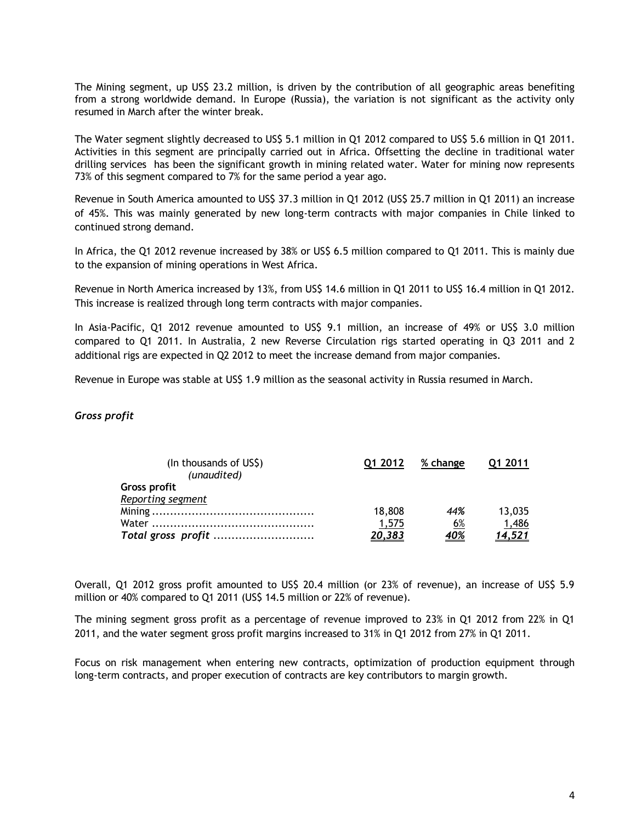The Mining segment, up US\$ 23.2 million, is driven by the contribution of all geographic areas benefiting from a strong worldwide demand. In Europe (Russia), the variation is not significant as the activity only resumed in March after the winter break.

The Water segment slightly decreased to US\$ 5.1 million in Q1 2012 compared to US\$ 5.6 million in Q1 2011. Activities in this segment are principally carried out in Africa. Offsetting the decline in traditional water drilling services has been the significant growth in mining related water. Water for mining now represents 73% of this segment compared to 7% for the same period a year ago.

Revenue in South America amounted to US\$ 37.3 million in Q1 2012 (US\$ 25.7 million in Q1 2011) an increase of 45%. This was mainly generated by new long-term contracts with major companies in Chile linked to continued strong demand.

In Africa, the Q1 2012 revenue increased by 38% or US\$ 6.5 million compared to Q1 2011. This is mainly due to the expansion of mining operations in West Africa.

Revenue in North America increased by 13%, from US\$ 14.6 million in Q1 2011 to US\$ 16.4 million in Q1 2012. This increase is realized through long term contracts with major companies.

In Asia-Pacific, Q1 2012 revenue amounted to US\$ 9.1 million, an increase of 49% or US\$ 3.0 million compared to Q1 2011. In Australia, 2 new Reverse Circulation rigs started operating in Q3 2011 and 2 additional rigs are expected in Q2 2012 to meet the increase demand from major companies.

Revenue in Europe was stable at US\$ 1.9 million as the seasonal activity in Russia resumed in March.

#### *Gross profit*

| (In thousands of US\$)<br>(unaudited) | Q1 2012 | % change   | 01 2011       |
|---------------------------------------|---------|------------|---------------|
| Gross profit                          |         |            |               |
| Reporting segment                     |         |            |               |
|                                       | 18,808  | 44%        | 13,035        |
|                                       | 1,575   | 6%         | 1,486         |
| Total gross profit                    | 20,383  | <u>40%</u> | <u>14,521</u> |

Overall, Q1 2012 gross profit amounted to US\$ 20.4 million (or 23% of revenue), an increase of US\$ 5.9 million or 40% compared to Q1 2011 (US\$ 14.5 million or 22% of revenue).

The mining segment gross profit as a percentage of revenue improved to 23% in Q1 2012 from 22% in Q1 2011, and the water segment gross profit margins increased to 31% in Q1 2012 from 27% in Q1 2011.

Focus on risk management when entering new contracts, optimization of production equipment through long-term contracts, and proper execution of contracts are key contributors to margin growth.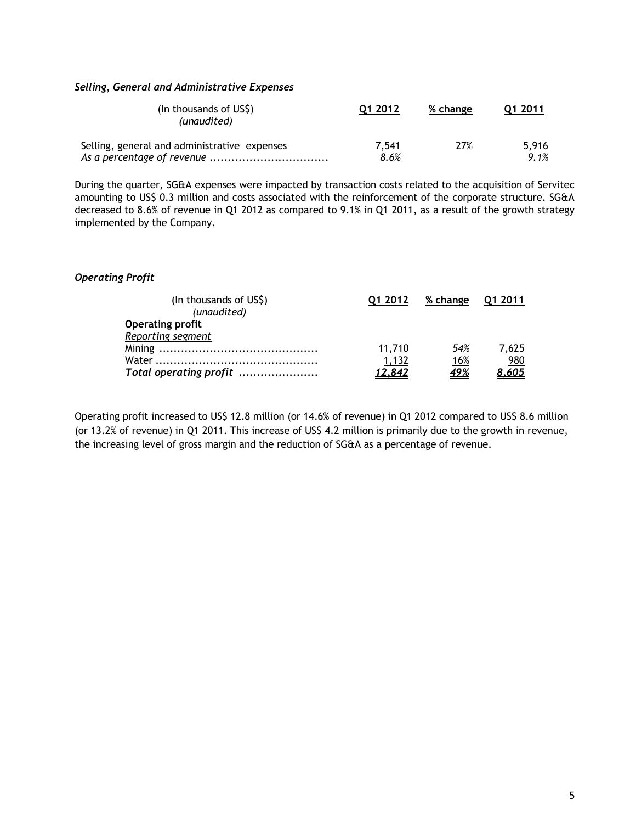## *Selling, General and Administrative Expenses*

| (In thousands of US\$)<br>(unaudited)        | Q1 2012 | % change | 01 2011 |
|----------------------------------------------|---------|----------|---------|
| Selling, general and administrative expenses | 7.541   | 27%      | 5.916   |
|                                              | 8.6%    |          | 9.1%    |

During the quarter, SG&A expenses were impacted by transaction costs related to the acquisition of Servitec amounting to US\$ 0.3 million and costs associated with the reinforcement of the corporate structure. SG&A decreased to 8.6% of revenue in Q1 2012 as compared to 9.1% in Q1 2011, as a result of the growth strategy implemented by the Company.

## *Operating Profit*

| (In thousands of US\$)  | 01 2012 | % change   | <b>Q1 2011</b> |
|-------------------------|---------|------------|----------------|
| (unaudited)             |         |            |                |
| <b>Operating profit</b> |         |            |                |
| Reporting segment       |         |            |                |
|                         | 11.710  | 54%        | 7.625          |
|                         | 1,132   | 16%        | 980            |
| Total operating profit  | 12.842  | <u>49%</u> | 8,605          |

Operating profit increased to US\$ 12.8 million (or 14.6% of revenue) in Q1 2012 compared to US\$ 8.6 million (or 13.2% of revenue) in Q1 2011. This increase of US\$ 4.2 million is primarily due to the growth in revenue, the increasing level of gross margin and the reduction of SG&A as a percentage of revenue.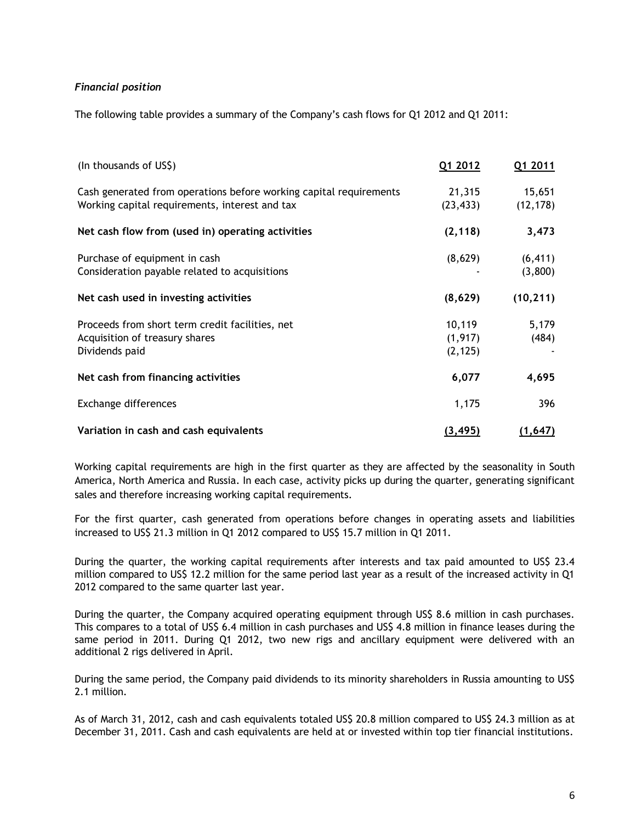# *Financial position*

The following table provides a summary of the Company's cash flows for Q1 2012 and Q1 2011:

| (In thousands of US\$)                                                                                               | Q1 2012                        | Q1 2011             |
|----------------------------------------------------------------------------------------------------------------------|--------------------------------|---------------------|
| Cash generated from operations before working capital requirements<br>Working capital requirements, interest and tax | 21,315<br>(23, 433)            | 15,651<br>(12, 178) |
| Net cash flow from (used in) operating activities                                                                    | (2, 118)                       | 3,473               |
| Purchase of equipment in cash<br>Consideration payable related to acquisitions                                       | (8,629)                        | (6, 411)<br>(3,800) |
| Net cash used in investing activities                                                                                | (8,629)                        | (10, 211)           |
| Proceeds from short term credit facilities, net<br>Acquisition of treasury shares<br>Dividends paid                  | 10,119<br>(1, 917)<br>(2, 125) | 5,179<br>(484)      |
| Net cash from financing activities                                                                                   | 6,077                          | 4,695               |
| Exchange differences                                                                                                 | 1,175                          | 396                 |
| Variation in cash and cash equivalents                                                                               | (3, 495)                       | (1,647)             |

Working capital requirements are high in the first quarter as they are affected by the seasonality in South America, North America and Russia. In each case, activity picks up during the quarter, generating significant sales and therefore increasing working capital requirements.

For the first quarter, cash generated from operations before changes in operating assets and liabilities increased to US\$ 21.3 million in Q1 2012 compared to US\$ 15.7 million in Q1 2011.

During the quarter, the working capital requirements after interests and tax paid amounted to US\$ 23.4 million compared to US\$ 12.2 million for the same period last year as a result of the increased activity in Q1 2012 compared to the same quarter last year.

During the quarter, the Company acquired operating equipment through US\$ 8.6 million in cash purchases. This compares to a total of US\$ 6.4 million in cash purchases and US\$ 4.8 million in finance leases during the same period in 2011. During Q1 2012, two new rigs and ancillary equipment were delivered with an additional 2 rigs delivered in April.

During the same period, the Company paid dividends to its minority shareholders in Russia amounting to US\$ 2.1 million.

As of March 31, 2012, cash and cash equivalents totaled US\$ 20.8 million compared to US\$ 24.3 million as at December 31, 2011. Cash and cash equivalents are held at or invested within top tier financial institutions.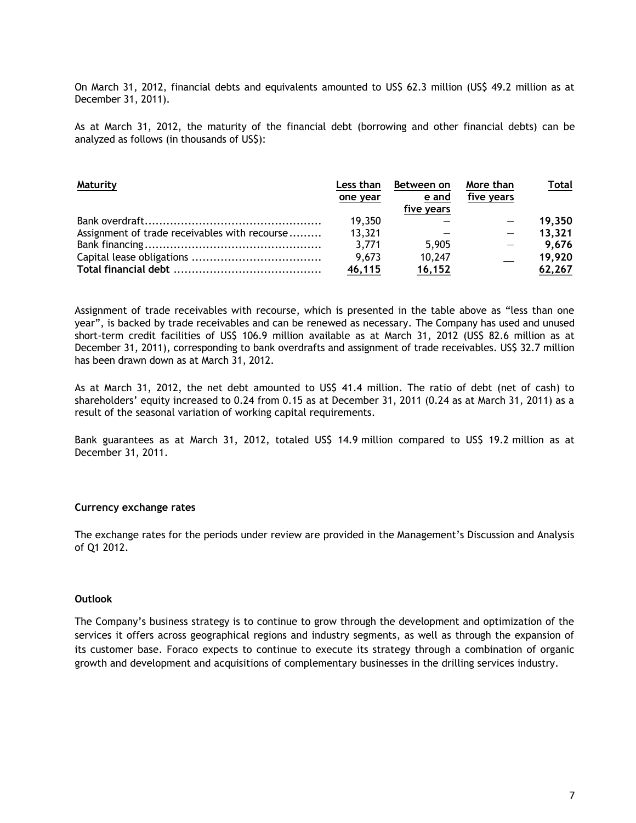On March 31, 2012, financial debts and equivalents amounted to US\$ 62.3 million (US\$ 49.2 million as at December 31, 2011).

As at March 31, 2012, the maturity of the financial debt (borrowing and other financial debts) can be analyzed as follows (in thousands of US\$):

| <b>Maturity</b>                               | Less than | Between on    | More than  | Total  |
|-----------------------------------------------|-----------|---------------|------------|--------|
|                                               | one year  | e and         | five years |        |
|                                               |           | five years    |            |        |
|                                               | 19,350    |               |            | 19,350 |
| Assignment of trade receivables with recourse | 13,321    |               |            | 13,321 |
|                                               | 3,771     | 5,905         |            | 9,676  |
|                                               | 9,673     | 10,247        |            | 19,920 |
|                                               | 46,115    | <u>16,152</u> |            | 62,267 |

Assignment of trade receivables with recourse, which is presented in the table above as "less than one year", is backed by trade receivables and can be renewed as necessary. The Company has used and unused short-term credit facilities of US\$ 106.9 million available as at March 31, 2012 (US\$ 82.6 million as at December 31, 2011), corresponding to bank overdrafts and assignment of trade receivables. US\$ 32.7 million has been drawn down as at March 31, 2012.

As at March 31, 2012, the net debt amounted to US\$ 41.4 million. The ratio of debt (net of cash) to shareholders' equity increased to 0.24 from 0.15 as at December 31, 2011 (0.24 as at March 31, 2011) as a result of the seasonal variation of working capital requirements.

Bank guarantees as at March 31, 2012, totaled US\$ 14.9 million compared to US\$ 19.2 million as at December 31, 2011.

#### **Currency exchange rates**

The exchange rates for the periods under review are provided in the Management's Discussion and Analysis of Q1 2012.

#### **Outlook**

The Company's business strategy is to continue to grow through the development and optimization of the services it offers across geographical regions and industry segments, as well as through the expansion of its customer base. Foraco expects to continue to execute its strategy through a combination of organic growth and development and acquisitions of complementary businesses in the drilling services industry.